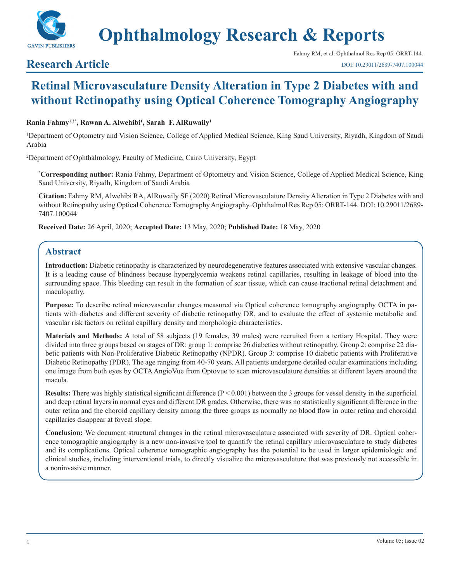

# **Ophthalmology Research & Reports**

# **Research Article**

# **Retinal Microvasculature Density Alteration in Type 2 Diabetes with and without Retinopathy using Optical Coherence Tomography Angiography**

#### **Rania Fahmy1,2\*, Rawan A. Alwehibi1 , Sarah F. AlRuwaily1**

1 Department of Optometry and Vision Science, College of Applied Medical Science, King Saud University, Riyadh, Kingdom of Saudi Arabia

2 Department of Ophthalmology, Faculty of Medicine, Cairo University, Egypt

**\* Corresponding author:** Rania Fahmy, Department of Optometry and Vision Science, College of Applied Medical Science, King Saud University, Riyadh, Kingdom of Saudi Arabia

**Citation:** Fahmy RM, Alwehibi RA, AlRuwaily SF (2020) Retinal Microvasculature Density Alteration in Type 2 Diabetes with and without Retinopathy using Optical Coherence Tomography Angiography. Ophthalmol Res Rep 05: ORRT-144. DOI: 10.29011/2689- 7407.100044

**Received Date:** 26 April, 2020; **Accepted Date:** 13 May, 2020; **Published Date:** 18 May, 2020

## **Abstract**

**Introduction:** Diabetic retinopathy is characterized by neurodegenerative features associated with extensive vascular changes. It is a leading cause of blindness because hyperglycemia weakens retinal capillaries, resulting in leakage of blood into the surrounding space. This bleeding can result in the formation of scar tissue, which can cause tractional retinal detachment and maculopathy.

**Purpose:** To describe retinal microvascular changes measured via Optical coherence tomography angiography OCTA in patients with diabetes and different severity of diabetic retinopathy DR, and to evaluate the effect of systemic metabolic and vascular risk factors on retinal capillary density and morphologic characteristics.

**Materials and Methods:** A total of 58 subjects (19 females, 39 males) were recruited from a tertiary Hospital. They were divided into three groups based on stages of DR: group 1: comprise 26 diabetics without retinopathy. Group 2: comprise 22 diabetic patients with Non-Proliferative Diabetic Retinopathy (NPDR). Group 3: comprise 10 diabetic patients with Proliferative Diabetic Retinopathy (PDR). The age ranging from 40-70 years. All patients undergone detailed ocular examinations including one image from both eyes by OCTA AngioVue from Optovue to scan microvasculature densities at different layers around the macula.

**Results:** There was highly statistical significant difference (P < 0.001) between the 3 groups for vessel density in the superficial and deep retinal layers in normal eyes and different DR grades. Otherwise, there was no statistically significant difference in the outer retina and the choroid capillary density among the three groups as normally no blood flow in outer retina and choroidal capillaries disappear at foveal slope.

**Conclusion:** We document structural changes in the retinal microvasculature associated with severity of DR. Optical coherence tomographic angiography is a new non-invasive tool to quantify the retinal capillary microvasculature to study diabetes and its complications. Optical coherence tomographic angiography has the potential to be used in larger epidemiologic and clinical studies, including interventional trials, to directly visualize the microvasculature that was previously not accessible in a noninvasive manner.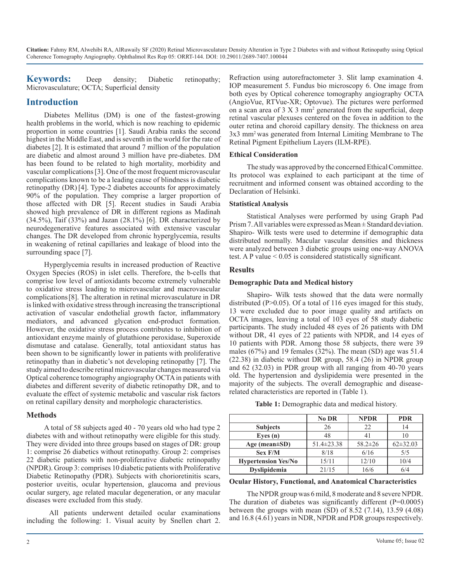**Keywords:** Deep density; Diabetic retinopathy; Microvasculature; OCTA; Superficial density

### **Introduction**

Diabetes Mellitus (DM) is one of the fastest-growing health problems in the world, which is now reaching to epidemic proportion in some countries [1]. Saudi Arabia ranks the second highest in the Middle East, and is seventh in the world for the rate of diabetes [2]. It is estimated that around 7 million of the population are diabetic and almost around 3 million have pre-diabetes. DM has been found to be related to high mortality, morbidity and vascular complications [3]. One of the most frequent microvascular complications known to be a leading cause of blindness is diabetic retinopathy (DR)[4]. Type-2 diabetes accounts for approximately 90% of the population. They comprise a larger proportion of those affected with DR [5]. Recent studies in Saudi Arabia showed high prevalence of DR in different regions as Madinah  $(34.5\%)$ , Taif  $(33\%)$  and Jazan  $(28.1\%)$  [6]. DR characterized by neurodegenerative features associated with extensive vascular changes. The DR developed from chronic hyperglycemia, results in weakening of retinal capillaries and leakage of blood into the surrounding space [7].

Hyperglycemia results in increased production of Reactive Oxygen Species (ROS) in islet cells. Therefore, the b-cells that comprise low level of antioxidants become extremely vulnerable to oxidative stress leading to microvascular and macrovascular complications[8]. The alteration in retinal microvasculature in DR is linked with oxidative stress through increasing the transcriptional activation of vascular endothelial growth factor, inflammatory mediators, and advanced glycation end-product formation. However, the oxidative stress process contributes to inhibition of antioxidant enzyme mainly of glutathione peroxidase, Superoxide dismutase and catalase. Generally, total antioxidant status has been shown to be significantly lower in patients with proliferative retinopathy than in diabetic's not developing retinopathy [7]. The study aimed to describe retinal microvascular changes measured via Optical coherence tomography angiography OCTA in patients with diabetes and different severity of diabetic retinopathy DR, and to evaluate the effect of systemic metabolic and vascular risk factors on retinal capillary density and morphologic characteristics.

#### **Methods**

A total of 58 subjects aged 40 - 70 years old who had type 2 diabetes with and without retinopathy were eligible for this study. They were divided into three groups based on stages of DR: group 1: comprise 26 diabetics without retinopathy. Group 2: comprises 22 diabetic patients with non-proliferative diabetic retinopathy (NPDR). Group 3: comprises 10 diabetic patients with Proliferative Diabetic Retinopathy (PDR). Subjects with chorioretinitis scars, posterior uveitis, ocular hypertension, glaucoma and previous ocular surgery, age related macular degeneration, or any macular diseases were excluded from this study.

 All patients underwent detailed ocular examinations including the following: 1. Visual acuity by Snellen chart 2. Refraction using autorefractometer 3. Slit lamp examination 4. IOP measurement 5. Fundus bio microscopy 6. One image from both eyes by Optical coherence tomography angiography OCTA (AngioVue, RTVue-XR; Optovue). The pictures were performed on a scan area of 3 X 3 mm2 generated from the superficial, deep retinal vascular plexuses centered on the fovea in addition to the outer retina and choroid capillary density. The thickness on area 3x3 mm2 was generated from Internal Limiting Membrane to The Retinal Pigment Epithelium Layers (ILM-RPE).

#### **Ethical Consideration**

The study was approved by the concerned Ethical Committee. Its protocol was explained to each participant at the time of recruitment and informed consent was obtained according to the Declaration of Helsinki.

#### **Statistical Analysis**

Statistical Analyses were performed by using Graph Pad Prism 7. All variables were expressed as Mean ± Standard deviation. Shapiro- Wilk tests were used to determine if demographic data distributed normally. Macular vascular densities and thickness were analyzed between 3 diabetic groups using one-way ANOVA test. A P value < 0.05 is considered statistically significant.

#### **Results**

#### **Demographic Data and Medical history**

Shapiro- Wilk tests showed that the data were normally distributed (P>0.05). Of a total of 116 eyes imaged for this study, 13 were excluded due to poor image quality and artifacts on OCTA images, leaving a total of 103 eyes of 58 study diabetic participants. The study included 48 eyes of 26 patients with DM without DR, 41 eyes of 22 patients with NPDR, and 14 eyes of 10 patients with PDR. Among those 58 subjects, there were 39 males (67%) and 19 females (32%). The mean (SD) age was 51.4 (22.38) in diabetic without DR group, 58.4 (26) in NPDR group and 62 (32.03) in PDR group with all ranging from 40-70 years old. The hypertension and dyslipidemia were presented in the majority of the subjects. The overall demographic and diseaserelated characteristics are reported in (Table 1).

| Table 1: Demographic data and medical history. |  |
|------------------------------------------------|--|
|------------------------------------------------|--|

|                            | <b>No DR</b>     | <b>NPDR</b>   | <b>PDR</b>   |
|----------------------------|------------------|---------------|--------------|
| <b>Subjects</b>            | 26               | 22            | 14           |
| Eyes $(n)$                 | 48               |               |              |
| Age (mean $\pm SD$ )       | $51.4 \pm 23.38$ | $58.2 \pm 26$ | $62\pm32.03$ |
| Sex F/M                    | 8/18             | 6/16          | 5/5          |
| <b>Hypertension Yes/No</b> | 15/11            | 12/10         | 10/4         |
| Dyslipidemia               | 21/15            | 16/6          | 6/4          |

#### **Ocular History, Functional, and Anatomical Characteristics**

The NPDR group was 6 mild, 8 moderate and 8 severe NPDR. The duration of diabetes was significantly different  $(P=0.0005)$ between the groups with mean  $(SD)$  of 8.52 (7.14), 13.59 (4.08) and 16.8 (4.61) years in NDR, NPDR and PDR groups respectively.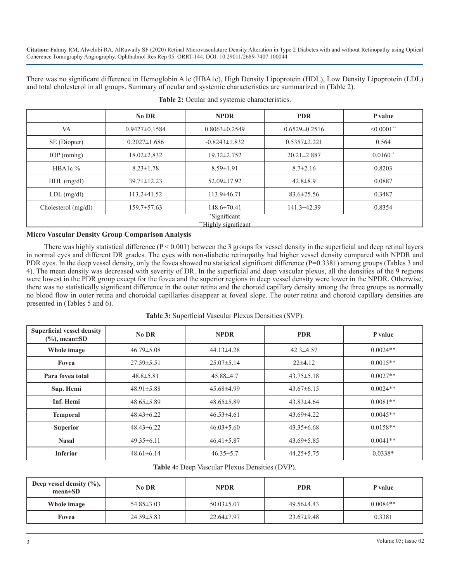There was no significant difference in Hemoglobin A1c (HBA1c), High Density Lipoprotein (HDL), Low Density Lipoprotein (LDL) and total cholesterol in all groups. Summary of ocular and systemic characteristics are summarized in (Table 2).

|                                     | No DR              | <b>NPDR</b>         | <b>PDR</b>          | P value          |
|-------------------------------------|--------------------|---------------------|---------------------|------------------|
| VA                                  | $0.9427\pm0.1584$  | $0.8063\pm0.2549$   | $0.6529 \pm 0.2516$ | $\leq 0.0001$ ** |
| SE (Diopter)                        | $0.2027 \pm 1.686$ | $-0.8243 \pm 1.832$ | $0.5357 \pm 2.221$  | 0.564            |
| IOP (mmhg)                          | 18.02±2.832        | $19.32 \pm 2.752$   | $20.21 \pm 2.887$   | $0.0160*$        |
| HBA1c $%$                           | $8.23 \pm 1.78$    | $8.59 \pm 1.91$     | $8.7 \pm 2.16$      | 0.8203           |
| $HDL$ (mg/dl)                       | $39.71 \pm 12.23$  | 52.09±17.92         | $42.8 \pm 8.9$      | 0.0887           |
| $LDL$ (mg/dl)                       | $113.2 \pm 41.52$  | $113.9 \pm 46.71$   | $83.6 \pm 25.56$    | 0.3487           |
| Cholesterol $(mg/dI)$               | 159.7±57.63        | $148.6 \pm 70.41$   | $141.3 \pm 42.39$   | 0.8354           |
| 'Significant<br>"Highly significant |                    |                     |                     |                  |

**Table 2:** Ocular and systemic characteristics.

#### **Micro Vascular Density Group Comparison Analysis**

There was highly statistical difference  $(P < 0.001)$  between the 3 groups for vessel density in the superficial and deep retinal layers in normal eyes and different DR grades. The eyes with non-diabetic retinopathy had higher vessel density compared with NPDR and PDR eyes. In the deep vessel density, only the fovea showed no statistical significant difference (P=0.3381) among groups (Tables 3 and 4). The mean density was decreased with severity of DR. In the superficial and deep vascular plexus, all the densities of the 9 regions were lowest in the PDR group except for the fovea and the superior regions in deep vessel density were lower in the NPDR. Otherwise, there was no statistically significant difference in the outer retina and the choroid capillary density among the three groups as normally no blood flow in outer retina and choroidal capillaries disappear at foveal slope. The outer retina and choroid capillary densities are presented in (Tables 5 and 6).

| Table 3: Superficial Vascular Plexus Densities (SVP). |  |  |  |
|-------------------------------------------------------|--|--|--|
|-------------------------------------------------------|--|--|--|

| <b>Superficial vessel density</b><br>$(\%)$ , mean $\pm SD$ | No DR            | <b>NPDR</b>      | <b>PDR</b>       | P value    |
|-------------------------------------------------------------|------------------|------------------|------------------|------------|
| Whole image                                                 | $46.79 \pm 5.08$ | $44.13 \pm 4.28$ | $42.3 \pm 4.57$  | $0.0024**$ |
| Fovea                                                       | $27.59 \pm 5.51$ | $25.07\pm5.14$   | $22\pm 4.12$     | $0.0015**$ |
| Para fovea total                                            | $48.8 \pm 5.81$  | $45.88\pm4.7$    | $43.75 \pm 5.18$ | $0.0027**$ |
| Sup. Hemi                                                   | $48.91 \pm 5.88$ | 45.68±4.99       | $43.67\pm 6.15$  | $0.0024**$ |
| <b>Inf. Hemi</b>                                            | $48.65 \pm 5.89$ | $48.65 \pm 5.89$ | $43.83 \pm 4.64$ | $0.0081**$ |
| <b>Temporal</b>                                             | $48.43 \pm 6.22$ | $46.53\pm4.61$   | $43.69 \pm 4.22$ | $0.0045**$ |
| <b>Superior</b>                                             | $48.43\pm 6.22$  | $46.03 \pm 5.60$ | $43.35\pm 6.68$  | $0.0158**$ |
| <b>Nasal</b>                                                | $49.35 \pm 6.11$ | $46.41 \pm 5.87$ | $43.69 \pm 5.85$ | $0.0041**$ |
| <b>Inferior</b>                                             | $48.61 \pm 6.14$ | $46.35 \pm 5.7$  | $44.25 \pm 5.75$ | $0.0338*$  |

**Table 4:** Deep Vascular Plexus Densities (DVP).

| Deep vessel density $(\%),$<br>$mean \pm SD$ | No DR            | <b>NPDR</b>      | <b>PDR</b>       | P value    |
|----------------------------------------------|------------------|------------------|------------------|------------|
| Whole image                                  | $54.85 \pm 3.03$ | $50.03 \pm 5.07$ | $49.56\pm4.43$   | $0.0084**$ |
| Fovea                                        | $24.59 \pm 5.83$ | $22.64 \pm 7.97$ | $23.67 \pm 9.48$ | 0.3381     |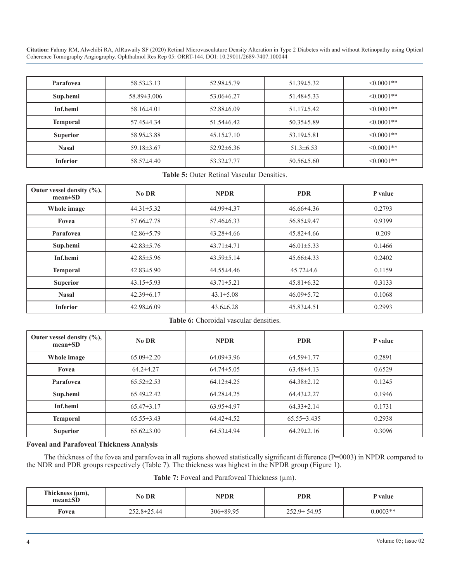| Parafovea       | $58.53 \pm 3.13$  | $52.98 \pm 5.79$ | $51.39 \pm 5.32$ | $\leq 0.0001$ ** |
|-----------------|-------------------|------------------|------------------|------------------|
| Sup.hemi        | $58.89 \pm 3.006$ | $53.06 \pm 6.27$ | $51.48 \pm 5.33$ | $\leq 0.0001$ ** |
| Inf.hemi        | $58.16\pm4.01$    | $52.88\pm 6.09$  | $51.17\pm5.42$   | $\leq 0.0001$ ** |
| <b>Temporal</b> | $57.45\pm4.34$    | $51.54\pm 6.42$  | $50.35 \pm 5.89$ | $\leq 0.0001$ ** |
| <b>Superior</b> | $58.95 \pm 3.88$  | $45.15 \pm 7.10$ | $53.19 \pm 5.81$ | $\leq 0.0001$ ** |
| <b>Nasal</b>    | $59.18 \pm 3.67$  | $52.92\pm 6.36$  | $51.3 \pm 6.53$  | $\leq 0.0001**$  |
| <b>Inferior</b> | $58.57\pm4.40$    | $53.32 \pm 7.77$ | $50.56 \pm 5.60$ | $\leq 0.0001$ ** |

**Table 5:** Outer Retinal Vascular Densities.

| Outer vessel density $(\%),$<br>$mean \pm SD$ | No DR            | <b>NPDR</b>      | <b>PDR</b>       | P value |
|-----------------------------------------------|------------------|------------------|------------------|---------|
| Whole image                                   | $44.31 \pm 5.32$ | 44.99±4.37       | $46.66\pm4.36$   | 0.2793  |
| Fovea                                         | $57.66 \pm 7.78$ | $57.46\pm 6.33$  | 56.85±9.47       | 0.9399  |
| Parafovea                                     | $42.86 \pm 5.79$ | $43.28\pm4.66$   | $45.82\pm4.66$   | 0.209   |
| Sup.hemi                                      | $42.83 \pm 5.76$ | $43.71 \pm 4.71$ | $46.01 \pm 5.33$ | 0.1466  |
| Inf.hemi                                      | $42.85 \pm 5.96$ | $43.59 \pm 5.14$ | $45.66\pm4.33$   | 0.2402  |
| <b>Temporal</b>                               | $42.83 \pm 5.90$ | 44.55±4.46       | $45.72\pm4.6$    | 0.1159  |
| <b>Superior</b>                               | $43.15 \pm 5.93$ | $43.71 \pm 5.21$ | $45.81 \pm 6.32$ | 0.3133  |
| <b>Nasal</b>                                  | $42.39 \pm 6.17$ | $43.1 \pm 5.08$  | $46.09 \pm 5.72$ | 0.1068  |
| <b>Inferior</b>                               | $42.98 \pm 6.09$ | $43.6 \pm 6.28$  | $45.83\pm4.51$   | 0.2993  |

#### Table 6: Choroidal vascular densities.

| Outer vessel density $(\%),$<br>$mean \pm SD$ | No DR            | <b>NPDR</b>      | <b>PDR</b>        | P value |
|-----------------------------------------------|------------------|------------------|-------------------|---------|
| Whole image                                   | $65.09 \pm 2.20$ | $64.09 \pm 3.96$ | $64.59 \pm 1.77$  | 0.2891  |
| Fovea                                         | $64.2 \pm 4.27$  | $64.74 \pm 5.05$ | $63.48\pm4.13$    | 0.6529  |
| Parafovea                                     | $65.52 \pm 2.53$ | $64.12\pm4.25$   | $64.38 \pm 2.12$  | 0.1245  |
| Sup.hemi                                      | $65.49 \pm 2.42$ | $64.28\pm4.25$   | $64.43 \pm 2.27$  | 0.1946  |
| Inf.hemi                                      | $65.47\pm3.17$   | $63.95 \pm 4.97$ | $64.33 \pm 2.14$  | 0.1731  |
| <b>Temporal</b>                               | $65.55 \pm 3.43$ | $64.42\pm4.52$   | $65.55 \pm 3.435$ | 0.2938  |
| <b>Superior</b>                               | $65.62 \pm 3.00$ | $64.53\pm4.94$   | $64.29 \pm 2.16$  | 0.3096  |

#### **Foveal and Parafoveal Thickness Analysis**

The thickness of the fovea and parafovea in all regions showed statistically significant difference (P=0003) in NPDR compared to the NDR and PDR groups respectively (Table 7). The thickness was highest in the NPDR group (Figure 1).

|  |  | Table 7: Foveal and Parafoveal Thickness $(\mu m)$ . |  |  |
|--|--|------------------------------------------------------|--|--|
|--|--|------------------------------------------------------|--|--|

| Thickness $(\mu m)$ ,<br>$mean \pm SD$ | No DR             | NPDR            | <b>PDR</b>        | P value    |
|----------------------------------------|-------------------|-----------------|-------------------|------------|
| Fovea                                  | $252.8 \pm 25.44$ | $306 \pm 89.95$ | $252.9 \pm 54.95$ | $0.0003**$ |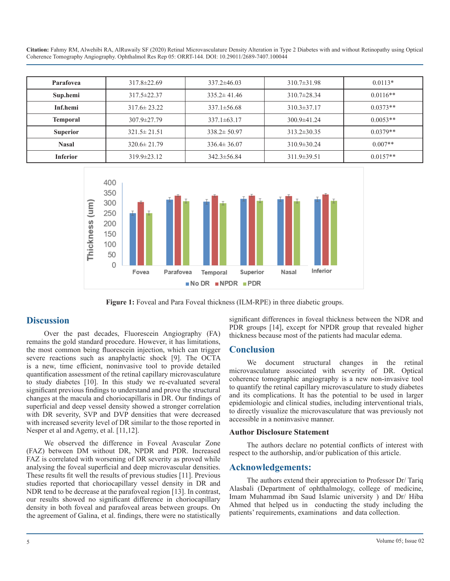| Parafovea       | $317.8 \pm 22.69$ | $337.2 \pm 46.03$ | $310.7 \pm 31.98$ | $0.0113*$  |
|-----------------|-------------------|-------------------|-------------------|------------|
| Sup.hemi        | $317.5 \pm 22.37$ | $335.2 \pm 41.46$ | $310.7 \pm 28.34$ | $0.0116**$ |
| Inf.hemi        | $317.6 \pm 23.22$ | $337.1 \pm 56.68$ | $310.3 \pm 37.17$ | $0.0373**$ |
| <b>Temporal</b> | $307.9 \pm 27.79$ | $337.1 \pm 63.17$ | $300.9 \pm 41.24$ | $0.0053**$ |
| <b>Superior</b> | $321.5 \pm 21.51$ | $338.2 \pm 50.97$ | $313.2 \pm 30.35$ | $0.0379**$ |
| <b>Nasal</b>    | $320.6 \pm 21.79$ | $336.4 \pm 36.07$ | $310.9 \pm 30.24$ | $0.007**$  |
| <b>Inferior</b> | $319.9 \pm 23.12$ | $342.3 \pm 56.84$ | $311.9 \pm 39.51$ | $0.0157**$ |



**Figure 1:** Foveal and Para Foveal thickness (ILM-RPE) in three diabetic groups.

#### **Discussion**

Over the past decades, Fluorescein Angiography (FA) remains the gold standard procedure. However, it has limitations, the most common being fluorescein injection, which can trigger severe reactions such as anaphylactic shock [9]. The OCTA is a new, time efficient, noninvasive tool to provide detailed quantification assessment of the retinal capillary microvasculature to study diabetes [10]. In this study we re-evaluated several significant previous findings to understand and prove the structural changes at the macula and choriocapillaris in DR. Our findings of superficial and deep vessel density showed a stronger correlation with DR severity, SVP and DVP densities that were decreased with increased severity level of DR similar to the those reported in Nesper et al and Agemy, et al. [11,12].

We observed the difference in Foveal Avascular Zone (FAZ) between DM without DR, NPDR and PDR. Increased FAZ is correlated with worsening of DR severity as proved while analysing the foveal superficial and deep microvascular densities. These results fit well the results of previous studies [11]. Previous studies reported that choriocapillary vessel density in DR and NDR tend to be decrease at the parafoveal region [13]. In contrast, our results showed no significant difference in choriocapillary density in both foveal and parafoveal areas between groups. On the agreement of Galina, et al. findings, there were no statistically significant differences in foveal thickness between the NDR and PDR groups [14], except for NPDR group that revealed higher thickness because most of the patients had macular edema.

#### **Conclusion**

We document structural changes in the retinal microvasculature associated with severity of DR. Optical coherence tomographic angiography is a new non-invasive tool to quantify the retinal capillary microvasculature to study diabetes and its complications. It has the potential to be used in larger epidemiologic and clinical studies, including interventional trials, to directly visualize the microvasculature that was previously not accessible in a noninvasive manner.

#### **Author Disclosure Statement**

The authors declare no potential conflicts of interest with respect to the authorship, and/or publication of this article.

#### **Acknowledgements:**

The authors extend their appreciation to Professor Dr/ Tariq Alasbali (Department of ophthalmology, college of medicine, Imam Muhammad ibn Saud Islamic university ) and Dr/ Hiba Ahmed that helped us in conducting the study including the patients' requirements, examinations and data collection.